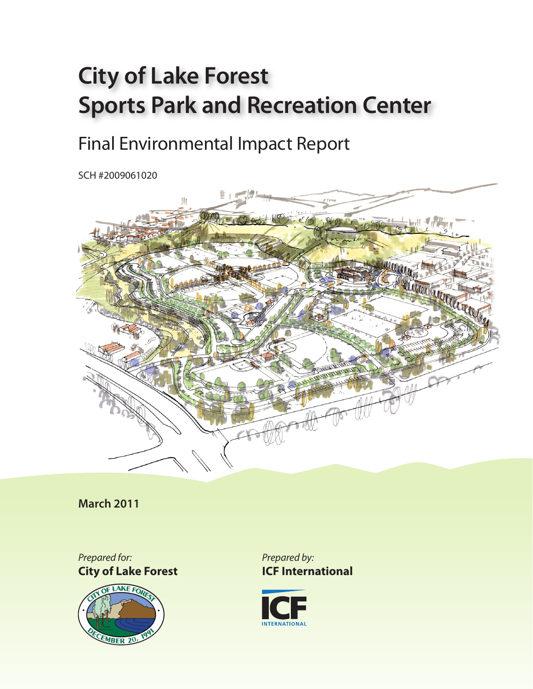## **City of Lake Forest Sports Park and Recreation Center**

## Final Environmental Impact Report

SCH #2009061020



**March 2011**

*Prepared for:* **City of Lake Forest**



*Prepared by:* **ICF International**

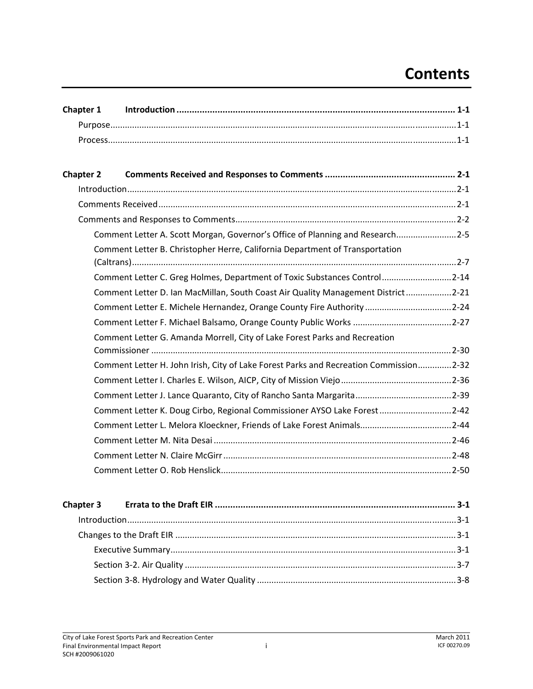## **Contents**

| Chapter 1        |                                                                                       |
|------------------|---------------------------------------------------------------------------------------|
|                  |                                                                                       |
|                  |                                                                                       |
|                  |                                                                                       |
| <b>Chapter 2</b> |                                                                                       |
|                  |                                                                                       |
|                  |                                                                                       |
|                  |                                                                                       |
|                  | Comment Letter A. Scott Morgan, Governor's Office of Planning and Research2-5         |
|                  | Comment Letter B. Christopher Herre, California Department of Transportation          |
|                  | Comment Letter C. Greg Holmes, Department of Toxic Substances Control2-14             |
|                  | Comment Letter D. Ian MacMillan, South Coast Air Quality Management District2-21      |
|                  | Comment Letter E. Michele Hernandez, Orange County Fire Authority 2-24                |
|                  |                                                                                       |
|                  | Comment Letter G. Amanda Morrell, City of Lake Forest Parks and Recreation            |
|                  |                                                                                       |
|                  | Comment Letter H. John Irish, City of Lake Forest Parks and Recreation Commission2-32 |
|                  |                                                                                       |
|                  |                                                                                       |
|                  | Comment Letter K. Doug Cirbo, Regional Commissioner AYSO Lake Forest 2-42             |
|                  | Comment Letter L. Melora Kloeckner, Friends of Lake Forest Animals2-44                |
|                  |                                                                                       |
|                  |                                                                                       |
|                  |                                                                                       |
|                  |                                                                                       |
| <b>Chapter 3</b> |                                                                                       |
|                  |                                                                                       |
|                  |                                                                                       |
|                  |                                                                                       |
|                  |                                                                                       |
|                  |                                                                                       |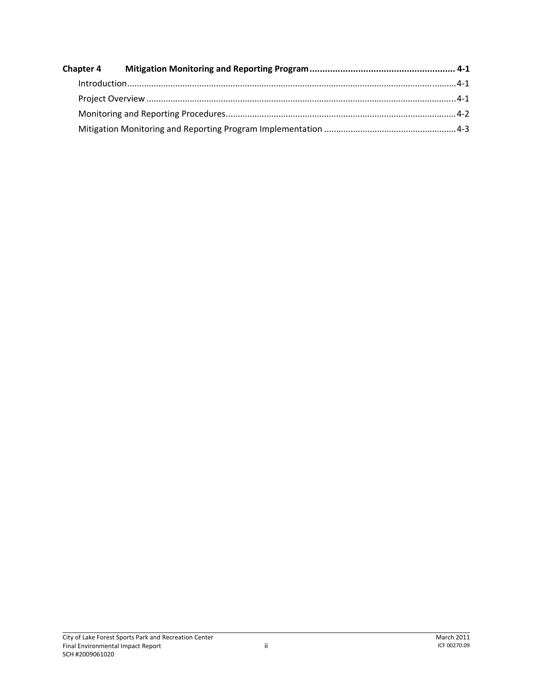| <b>Chapter 4</b> |  |  |
|------------------|--|--|
|                  |  |  |
|                  |  |  |
|                  |  |  |
|                  |  |  |